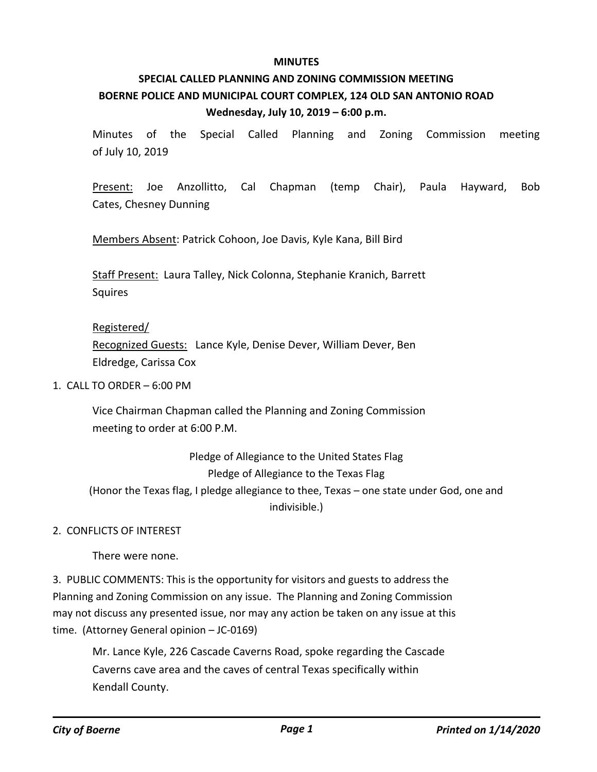#### **MINUTES**

# **SPECIAL CALLED PLANNING AND ZONING COMMISSION MEETING BOERNE POLICE AND MUNICIPAL COURT COMPLEX, 124 OLD SAN ANTONIO ROAD Wednesday, July 10, 2019 – 6:00 p.m.**

Minutes of the Special Called Planning and Zoning Commission meeting of July 10, 2019

Present: Joe Anzollitto, Cal Chapman (temp Chair), Paula Hayward, Bob Cates, Chesney Dunning

Members Absent: Patrick Cohoon, Joe Davis, Kyle Kana, Bill Bird

Staff Present: Laura Talley, Nick Colonna, Stephanie Kranich, Barrett Squires

#### Registered/

Recognized Guests: Lance Kyle, Denise Dever, William Dever, Ben Eldredge, Carissa Cox

#### 1. CALL TO ORDER – 6:00 PM

Vice Chairman Chapman called the Planning and Zoning Commission meeting to order at 6:00 P.M.

# Pledge of Allegiance to the United States Flag Pledge of Allegiance to the Texas Flag (Honor the Texas flag, I pledge allegiance to thee, Texas – one state under God, one and indivisible.)

### 2. CONFLICTS OF INTEREST

There were none.

3. PUBLIC COMMENTS: This is the opportunity for visitors and guests to address the Planning and Zoning Commission on any issue. The Planning and Zoning Commission may not discuss any presented issue, nor may any action be taken on any issue at this time. (Attorney General opinion – JC-0169)

Mr. Lance Kyle, 226 Cascade Caverns Road, spoke regarding the Cascade Caverns cave area and the caves of central Texas specifically within Kendall County.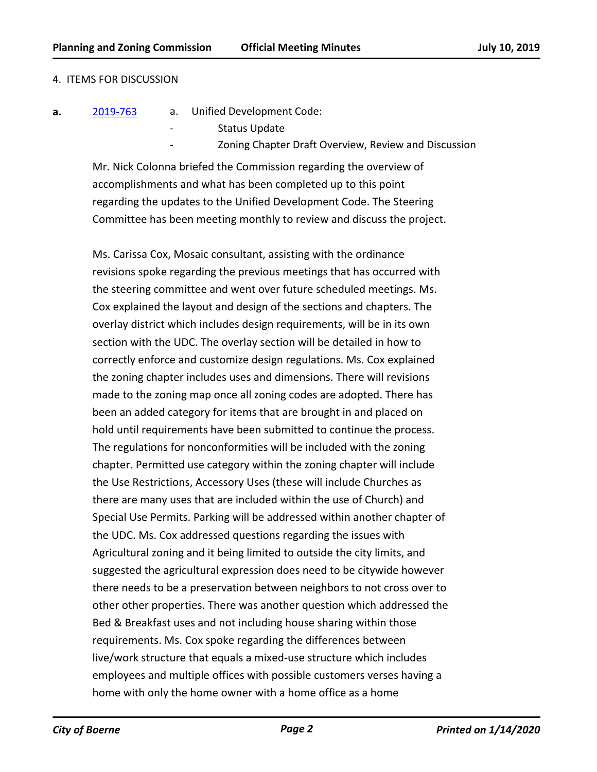#### 4. ITEMS FOR DISCUSSION

- **a.** [2019-763](http://boerne.legistar.com/gateway.aspx?m=l&id=/matter.aspx?key=4589) a. Unified Development Code:
	- Status Update
		- Zoning Chapter Draft Overview, Review and Discussion

Mr. Nick Colonna briefed the Commission regarding the overview of accomplishments and what has been completed up to this point regarding the updates to the Unified Development Code. The Steering Committee has been meeting monthly to review and discuss the project.

Ms. Carissa Cox, Mosaic consultant, assisting with the ordinance revisions spoke regarding the previous meetings that has occurred with the steering committee and went over future scheduled meetings. Ms. Cox explained the layout and design of the sections and chapters. The overlay district which includes design requirements, will be in its own section with the UDC. The overlay section will be detailed in how to correctly enforce and customize design regulations. Ms. Cox explained the zoning chapter includes uses and dimensions. There will revisions made to the zoning map once all zoning codes are adopted. There has been an added category for items that are brought in and placed on hold until requirements have been submitted to continue the process. The regulations for nonconformities will be included with the zoning chapter. Permitted use category within the zoning chapter will include the Use Restrictions, Accessory Uses (these will include Churches as there are many uses that are included within the use of Church) and Special Use Permits. Parking will be addressed within another chapter of the UDC. Ms. Cox addressed questions regarding the issues with Agricultural zoning and it being limited to outside the city limits, and suggested the agricultural expression does need to be citywide however there needs to be a preservation between neighbors to not cross over to other other properties. There was another question which addressed the Bed & Breakfast uses and not including house sharing within those requirements. Ms. Cox spoke regarding the differences between live/work structure that equals a mixed-use structure which includes employees and multiple offices with possible customers verses having a home with only the home owner with a home office as a home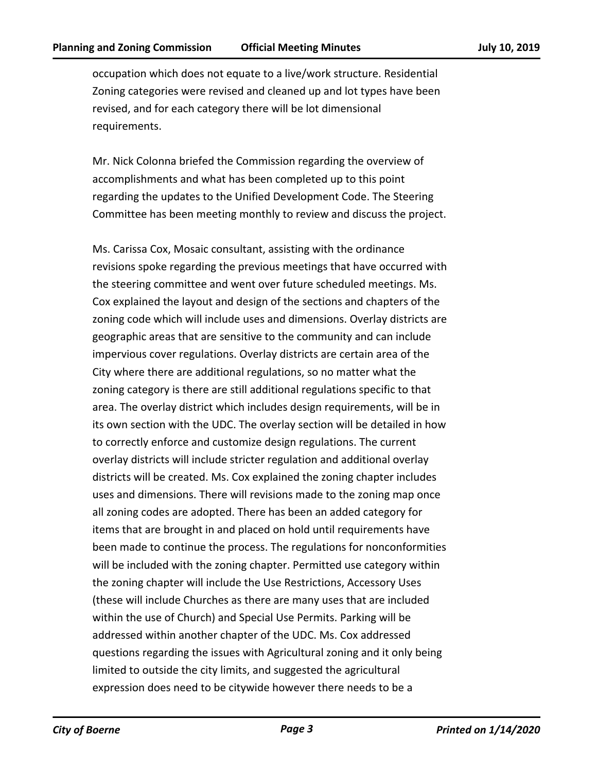occupation which does not equate to a live/work structure. Residential Zoning categories were revised and cleaned up and lot types have been revised, and for each category there will be lot dimensional requirements.

Mr. Nick Colonna briefed the Commission regarding the overview of accomplishments and what has been completed up to this point regarding the updates to the Unified Development Code. The Steering Committee has been meeting monthly to review and discuss the project.

Ms. Carissa Cox, Mosaic consultant, assisting with the ordinance revisions spoke regarding the previous meetings that have occurred with the steering committee and went over future scheduled meetings. Ms. Cox explained the layout and design of the sections and chapters of the zoning code which will include uses and dimensions. Overlay districts are geographic areas that are sensitive to the community and can include impervious cover regulations. Overlay districts are certain area of the City where there are additional regulations, so no matter what the zoning category is there are still additional regulations specific to that area. The overlay district which includes design requirements, will be in its own section with the UDC. The overlay section will be detailed in how to correctly enforce and customize design regulations. The current overlay districts will include stricter regulation and additional overlay districts will be created. Ms. Cox explained the zoning chapter includes uses and dimensions. There will revisions made to the zoning map once all zoning codes are adopted. There has been an added category for items that are brought in and placed on hold until requirements have been made to continue the process. The regulations for nonconformities will be included with the zoning chapter. Permitted use category within the zoning chapter will include the Use Restrictions, Accessory Uses (these will include Churches as there are many uses that are included within the use of Church) and Special Use Permits. Parking will be addressed within another chapter of the UDC. Ms. Cox addressed questions regarding the issues with Agricultural zoning and it only being limited to outside the city limits, and suggested the agricultural expression does need to be citywide however there needs to be a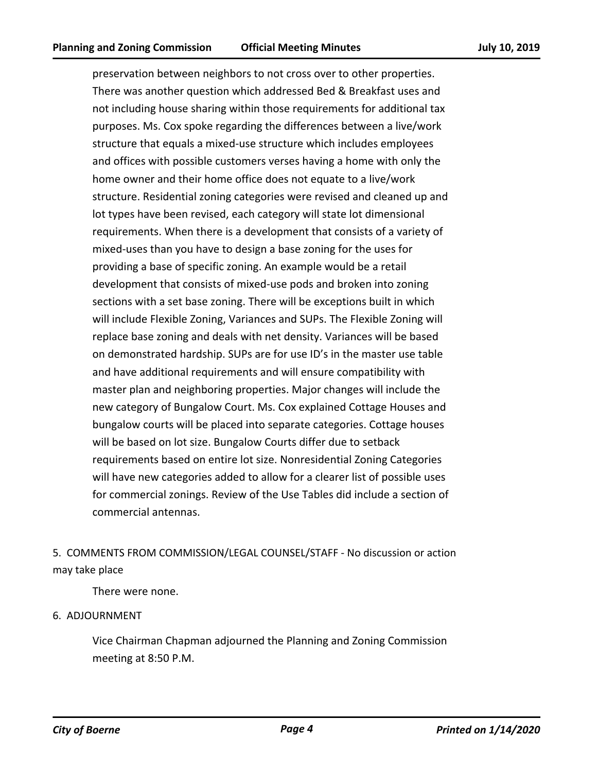preservation between neighbors to not cross over to other properties. There was another question which addressed Bed & Breakfast uses and not including house sharing within those requirements for additional tax purposes. Ms. Cox spoke regarding the differences between a live/work structure that equals a mixed-use structure which includes employees and offices with possible customers verses having a home with only the home owner and their home office does not equate to a live/work structure. Residential zoning categories were revised and cleaned up and lot types have been revised, each category will state lot dimensional requirements. When there is a development that consists of a variety of mixed-uses than you have to design a base zoning for the uses for providing a base of specific zoning. An example would be a retail development that consists of mixed-use pods and broken into zoning sections with a set base zoning. There will be exceptions built in which will include Flexible Zoning, Variances and SUPs. The Flexible Zoning will replace base zoning and deals with net density. Variances will be based on demonstrated hardship. SUPs are for use ID's in the master use table and have additional requirements and will ensure compatibility with master plan and neighboring properties. Major changes will include the new category of Bungalow Court. Ms. Cox explained Cottage Houses and bungalow courts will be placed into separate categories. Cottage houses will be based on lot size. Bungalow Courts differ due to setback requirements based on entire lot size. Nonresidential Zoning Categories will have new categories added to allow for a clearer list of possible uses for commercial zonings. Review of the Use Tables did include a section of commercial antennas.

# 5. COMMENTS FROM COMMISSION/LEGAL COUNSEL/STAFF - No discussion or action may take place

There were none.

### 6. ADJOURNMENT

Vice Chairman Chapman adjourned the Planning and Zoning Commission meeting at 8:50 P.M.